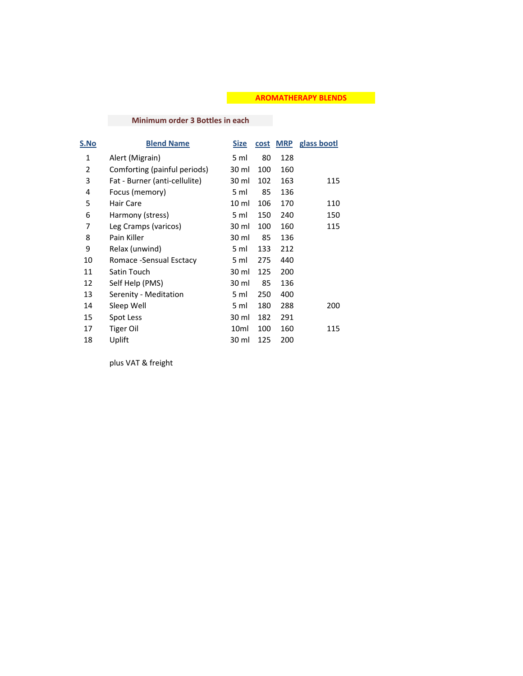## **AROMATHERAPY BLENDS**

## **Minimum order 3 Bottles in each**

| S.No | <b>Blend Name</b>             | <u>Size</u> | cost | <b>MRP</b> | glass bootl |
|------|-------------------------------|-------------|------|------------|-------------|
| 1    | Alert (Migrain)               | 5 ml        | 80   | 128        |             |
| 2    | Comforting (painful periods)  | 30 ml       | 100  | 160        |             |
| 3    | Fat - Burner (anti-cellulite) | 30 ml       | 102  | 163        | 115         |
| 4    | Focus (memory)                | 5 ml        | 85   | 136        |             |
| 5    | Hair Care                     | 10 ml       | 106  | 170        | 110         |
| 6    | Harmony (stress)              | 5 ml        | 150  | 240        | 150         |
| 7    | Leg Cramps (varicos)          | 30 ml       | 100  | 160        | 115         |
| 8    | Pain Killer                   | 30 ml       | 85   | 136        |             |
| 9    | Relax (unwind)                | 5 ml        | 133  | 212        |             |
| 10   | Romace -Sensual Esctacy       | 5 ml        | 275  | 440        |             |
| 11   | Satin Touch                   | 30 ml       | 125  | 200        |             |
| 12   | Self Help (PMS)               | 30 ml       | 85   | 136        |             |
| 13   | Serenity - Meditation         | 5 ml        | 250  | 400        |             |
| 14   | Sleep Well                    | 5 ml        | 180  | 288        | 200         |
| 15   | Spot Less                     | 30 ml       | 182  | 291        |             |
| 17   | Tiger Oil                     | 10ml        | 100  | 160        | 115         |
| 18   | Uplift                        | 30 ml       | 125  | 200        |             |

plus VAT & freight